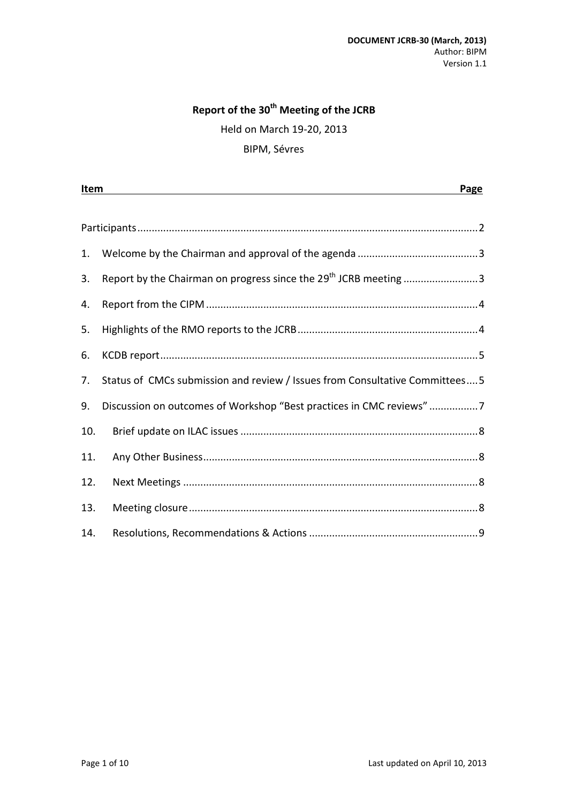## **Report of the 30th Meeting of the JCRB**

Held on March 19-20, 2013

#### BIPM, Sévres

|     | Item<br>Page                                                                 |  |
|-----|------------------------------------------------------------------------------|--|
|     |                                                                              |  |
|     |                                                                              |  |
| 1.  |                                                                              |  |
| 3.  | Report by the Chairman on progress since the 29 <sup>th</sup> JCRB meeting 3 |  |
| 4.  |                                                                              |  |
| 5.  |                                                                              |  |
| 6.  |                                                                              |  |
| 7.  | Status of CMCs submission and review / Issues from Consultative Committees 5 |  |
| 9.  | Discussion on outcomes of Workshop "Best practices in CMC reviews" 7         |  |
| 10. |                                                                              |  |
| 11. |                                                                              |  |
| 12. |                                                                              |  |
| 13. |                                                                              |  |
| 14. |                                                                              |  |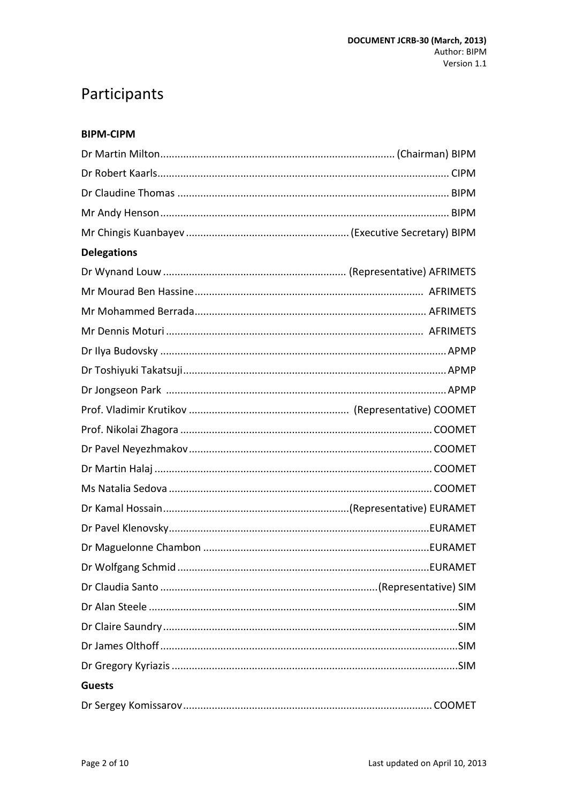# <span id="page-1-0"></span>Participants

#### **BIPM-CIPM**

| <b>Delegations</b> |  |  |
|--------------------|--|--|
|                    |  |  |
|                    |  |  |
|                    |  |  |
|                    |  |  |
|                    |  |  |
|                    |  |  |
|                    |  |  |
|                    |  |  |
|                    |  |  |
|                    |  |  |
|                    |  |  |
|                    |  |  |
|                    |  |  |
|                    |  |  |
|                    |  |  |
|                    |  |  |
|                    |  |  |
|                    |  |  |
|                    |  |  |
|                    |  |  |
|                    |  |  |
| <b>Guests</b>      |  |  |
|                    |  |  |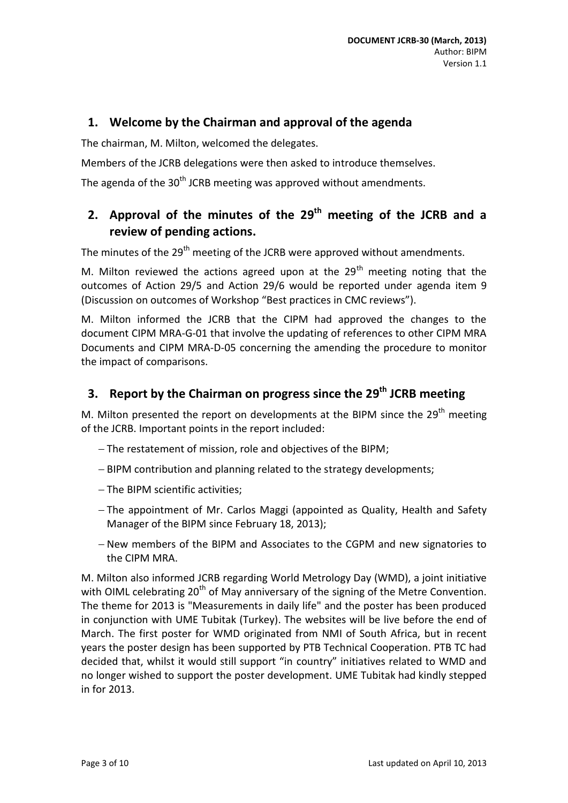## <span id="page-2-0"></span>**1. Welcome by the Chairman and approval of the agenda**

The chairman, M. Milton, welcomed the delegates.

Members of the JCRB delegations were then asked to introduce themselves.

The agenda of the 30<sup>th</sup> JCRB meeting was approved without amendments.

## 2. Approval of the minutes of the 29<sup>th</sup> meeting of the JCRB and a **review of pending actions.**

The minutes of the 29<sup>th</sup> meeting of the JCRB were approved without amendments.

M. Milton reviewed the actions agreed upon at the  $29<sup>th</sup>$  meeting noting that the outcomes of Action 29/5 and Action 29/6 would be reported under agenda item 9 (Discussion on outcomes of Workshop "Best practices in CMC reviews").

M. Milton informed the JCRB that the CIPM had approved the changes to the document CIPM MRA-G-01 that involve the updating of references to other CIPM MRA Documents and CIPM MRA-D-05 concerning the amending the procedure to monitor the impact of comparisons.

## <span id="page-2-1"></span>**3. Report by the Chairman on progress since the 29 th JCRB meeting**

M. Milton presented the report on developments at the BIPM since the 29<sup>th</sup> meeting of the JCRB. Important points in the report included:

- The restatement of mission, role and objectives of the BIPM;
- BIPM contribution and planning related to the strategy developments;
- The BIPM scientific activities:
- The appointment of Mr. Carlos Maggi (appointed as Quality, Health and Safety Manager of the BIPM since February 18, 2013);
- New members of the BIPM and Associates to the CGPM and new signatories to the CIPM MRA.

M. Milton also informed JCRB regarding World Metrology Day (WMD), a joint initiative with OIML celebrating 20<sup>th</sup> of May anniversary of the signing of the Metre Convention. The theme for 2013 is "Measurements in daily life" and the poster has been produced in conjunction with UME Tubitak (Turkey). The websites will be live before the end of March. The first poster for WMD originated from NMI of South Africa, but in recent years the poster design has been supported by PTB Technical Cooperation. PTB TC had decided that, whilst it would still support "in country" initiatives related to WMD and no longer wished to support the poster development. UME Tubitak had kindly stepped in for 2013.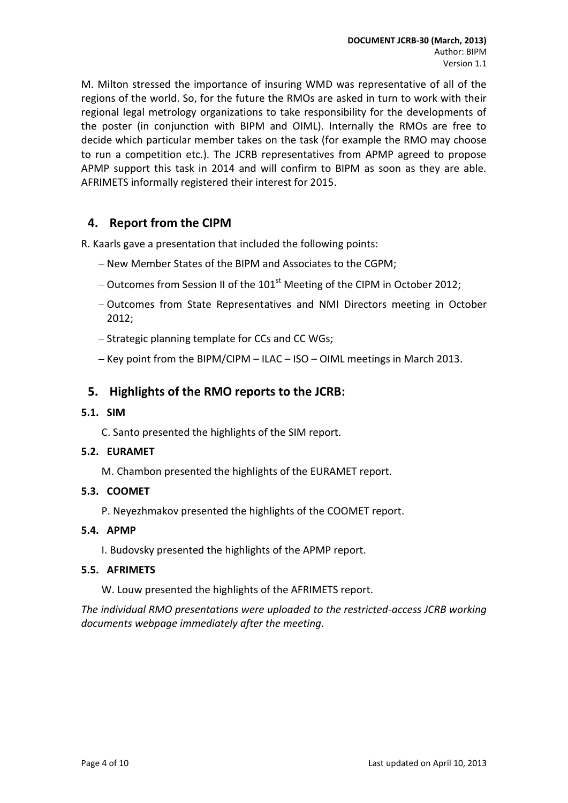M. Milton stressed the importance of insuring WMD was representative of all of the regions of the world. So, for the future the RMOs are asked in turn to work with their regional legal metrology organizations to take responsibility for the developments of the poster (in conjunction with BIPM and OIML). Internally the RMOs are free to decide which particular member takes on the task (for example the RMO may choose to run a competition etc.). The JCRB representatives from APMP agreed to propose APMP support this task in 2014 and will confirm to BIPM as soon as they are able. AFRIMETS informally registered their interest for 2015.

## <span id="page-3-0"></span>**4. Report from the CIPM**

R. Kaarls gave a presentation that included the following points:

- New Member States of the BIPM and Associates to the CGPM;
- $-$  Outcomes from Session II of the 101<sup>st</sup> Meeting of the CIPM in October 2012;
- Outcomes from State Representatives and NMI Directors meeting in October 2012;
- Strategic planning template for CCs and CC WGs;
- $-$  Key point from the BIPM/CIPM ILAC ISO OIML meetings in March 2013.

## <span id="page-3-1"></span>**5. Highlights of the RMO reports to the JCRB:**

#### **5.1. SIM**

C. Santo presented the highlights of the SIM report.

#### **5.2. EURAMET**

M. Chambon presented the highlights of the EURAMET report.

#### **5.3. COOMET**

P. Neyezhmakov presented the highlights of the COOMET report.

#### **5.4. APMP**

I. Budovsky presented the highlights of the APMP report.

#### **5.5. AFRIMETS**

W. Louw presented the highlights of the AFRIMETS report.

*The individual RMO presentations were uploaded to the restricted-access JCRB working documents webpage immediately after the meeting.*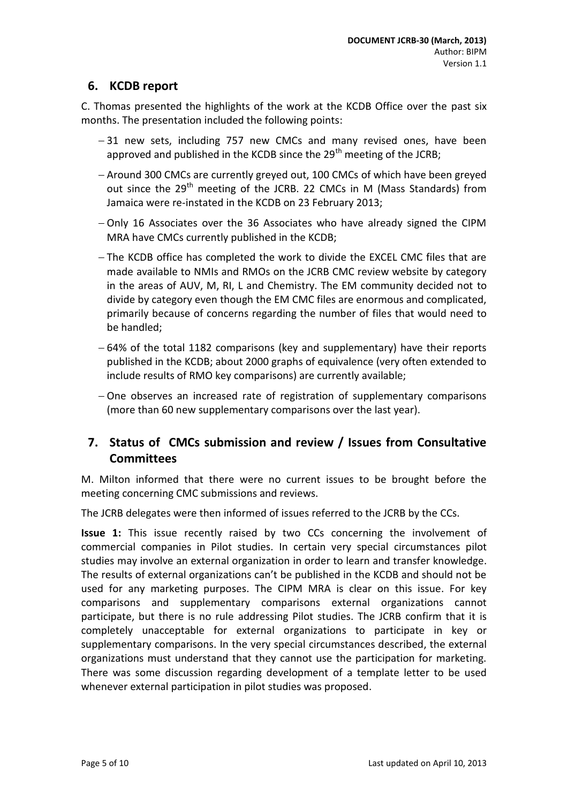## <span id="page-4-0"></span>**6. KCDB report**

C. Thomas presented the highlights of the work at the KCDB Office over the past six months. The presentation included the following points:

- -31 new sets, including 757 new CMCs and many revised ones, have been approved and published in the KCDB since the  $29<sup>th</sup>$  meeting of the JCRB;
- Around 300 CMCs are currently greyed out, 100 CMCs of which have been greyed out since the 29<sup>th</sup> meeting of the JCRB. 22 CMCs in M (Mass Standards) from Jamaica were re-instated in the KCDB on 23 February 2013;
- $-$  Only 16 Associates over the 36 Associates who have already signed the CIPM MRA have CMCs currently published in the KCDB;
- The KCDB office has completed the work to divide the EXCEL CMC files that are made available to NMIs and RMOs on the JCRB CMC review website by category in the areas of AUV, M, RI, L and Chemistry. The EM community decided not to divide by category even though the EM CMC files are enormous and complicated, primarily because of concerns regarding the number of files that would need to be handled;
- $-64%$  of the total 1182 comparisons (key and supplementary) have their reports published in the KCDB; about 2000 graphs of equivalence (very often extended to include results of RMO key comparisons) are currently available;
- $-$  One observes an increased rate of registration of supplementary comparisons (more than 60 new supplementary comparisons over the last year).

## <span id="page-4-1"></span>**7. Status of CMCs submission and review / Issues from Consultative Committees**

M. Milton informed that there were no current issues to be brought before the meeting concerning CMC submissions and reviews.

The JCRB delegates were then informed of issues referred to the JCRB by the CCs.

**Issue 1:** This issue recently raised by two CCs concerning the involvement of commercial companies in Pilot studies. In certain very special circumstances pilot studies may involve an external organization in order to learn and transfer knowledge. The results of external organizations can't be published in the KCDB and should not be used for any marketing purposes. The CIPM MRA is clear on this issue. For key comparisons and supplementary comparisons external organizations cannot participate, but there is no rule addressing Pilot studies. The JCRB confirm that it is completely unacceptable for external organizations to participate in key or supplementary comparisons. In the very special circumstances described, the external organizations must understand that they cannot use the participation for marketing. There was some discussion regarding development of a template letter to be used whenever external participation in pilot studies was proposed.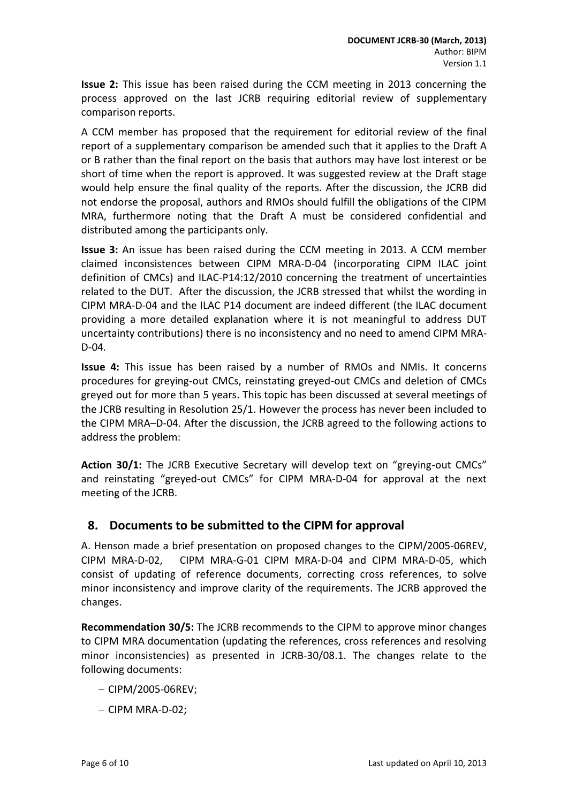**Issue 2:** This issue has been raised during the CCM meeting in 2013 concerning the process approved on the last JCRB requiring editorial review of supplementary comparison reports.

A CCM member has proposed that the requirement for editorial review of the final report of a supplementary comparison be amended such that it applies to the Draft A or B rather than the final report on the basis that authors may have lost interest or be short of time when the report is approved. It was suggested review at the Draft stage would help ensure the final quality of the reports. After the discussion, the JCRB did not endorse the proposal, authors and RMOs should fulfill the obligations of the CIPM MRA, furthermore noting that the Draft A must be considered confidential and distributed among the participants only.

**Issue 3:** An issue has been raised during the CCM meeting in 2013. A CCM member claimed inconsistences between CIPM MRA-D-04 (incorporating CIPM ILAC joint definition of CMCs) and ILAC-P14:12/2010 concerning the treatment of uncertainties related to the DUT. After the discussion, the JCRB stressed that whilst the wording in CIPM MRA-D-04 and the ILAC P14 document are indeed different (the ILAC document providing a more detailed explanation where it is not meaningful to address DUT uncertainty contributions) there is no inconsistency and no need to amend CIPM MRA-D-04*.*

**Issue 4:** This issue has been raised by a number of RMOs and NMIs. It concerns procedures for greying-out CMCs, reinstating greyed-out CMCs and deletion of CMCs greyed out for more than 5 years. This topic has been discussed at several meetings of the JCRB resulting in Resolution 25/1. However the process has never been included to the CIPM MRA–D-04. After the discussion, the JCRB agreed to the following actions to address the problem:

**Action 30/1:** The JCRB Executive Secretary will develop text on "greying-out CMCs" and reinstating "greyed-out CMCs" for CIPM MRA-D-04 for approval at the next meeting of the JCRB.

## **8. Documents to be submitted to the CIPM for approval**

A. Henson made a brief presentation on proposed changes to the CIPM/2005-06REV, CIPM MRA-D-02, CIPM MRA-G-01 CIPM MRA-D-04 and CIPM MRA-D-05, which consist of updating of reference documents, correcting cross references, to solve minor inconsistency and improve clarity of the requirements. The JCRB approved the changes.

**Recommendation 30/5:** The JCRB recommends to the CIPM to approve minor changes to CIPM MRA documentation (updating the references, cross references and resolving minor inconsistencies) as presented in [JCRB-30/08.1.](http://www.bipm.org/cc/JCRB/Restricted/30/30.08.0_Docs_to_be_submitted_to_the_CIPM_for_approval.ppt) The changes relate to the following documents:

- $-$  CIPM/2005-06REV:
- $-$  CIPM MRA-D-02;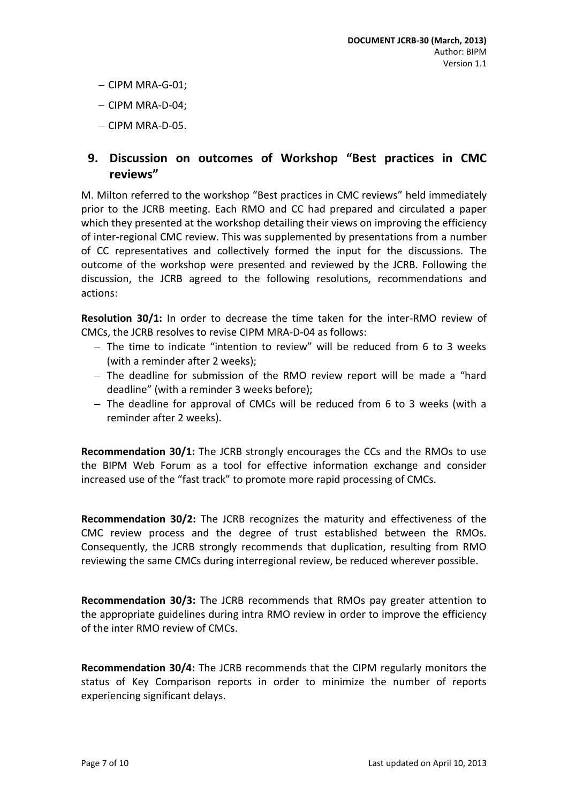- $-$  CIPM MRA-G-01;
- $-$  CIPM MRA-D-04:
- $-$  CIPM MRA-D-05.

## <span id="page-6-0"></span>**9. Discussion on outcomes of Workshop "Best practices in CMC reviews"**

M. Milton referred to the workshop "Best practices in CMC reviews" held immediately prior to the JCRB meeting. Each RMO and CC had prepared and circulated a paper which they presented at the workshop detailing their views on improving the efficiency of inter-regional CMC review. This was supplemented by presentations from a number of CC representatives and collectively formed the input for the discussions. The outcome of the workshop were presented and reviewed by the JCRB. Following the discussion, the JCRB agreed to the following resolutions, recommendations and actions:

**Resolution 30/1:** In order to decrease the time taken for the inter-RMO review of CMCs, the JCRB resolves to revise CIPM MRA-D-04 as follows:

- $-$  The time to indicate "intention to review" will be reduced from 6 to 3 weeks (with a reminder after 2 weeks);
- The deadline for submission of the RMO review report will be made a "hard deadline" (with a reminder 3 weeks before);
- $-$  The deadline for approval of CMCs will be reduced from 6 to 3 weeks (with a reminder after 2 weeks).

**Recommendation 30/1:** The JCRB strongly encourages the CCs and the RMOs to use the BIPM Web Forum as a tool for effective information exchange and consider increased use of the "fast track" to promote more rapid processing of CMCs.

**Recommendation 30/2:** The JCRB recognizes the maturity and effectiveness of the CMC review process and the degree of trust established between the RMOs. Consequently, the JCRB strongly recommends that duplication, resulting from RMO reviewing the same CMCs during interregional review, be reduced wherever possible.

**Recommendation 30/3:** The JCRB recommends that RMOs pay greater attention to the appropriate guidelines during intra RMO review in order to improve the efficiency of the inter RMO review of CMCs.

**Recommendation 30/4:** The JCRB recommends that the CIPM regularly monitors the status of Key Comparison reports in order to minimize the number of reports experiencing significant delays.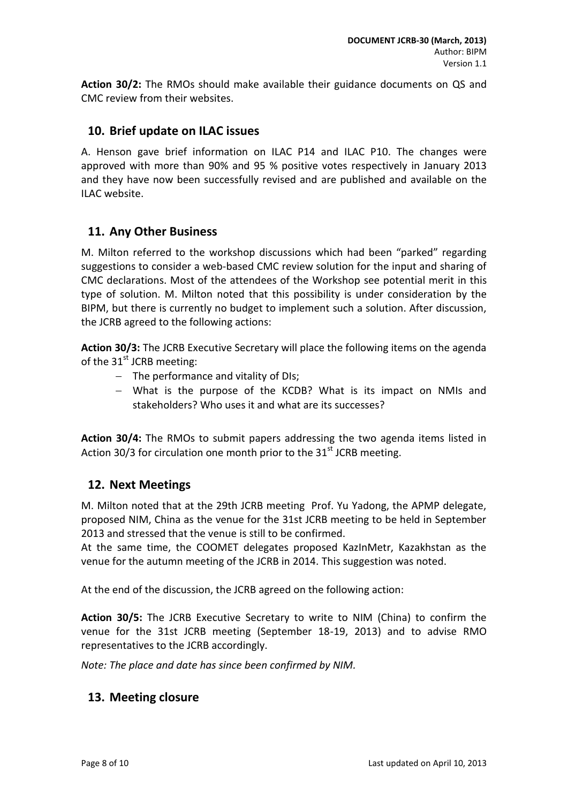**Action 30/2:** The RMOs should make available their guidance documents on QS and CMC review from their websites.

## <span id="page-7-0"></span>**10. Brief update on ILAC issues**

A. Henson gave brief information on ILAC P14 and ILAC P10. The changes were approved with more than 90% and 95 % positive votes respectively in January 2013 and they have now been successfully revised and are published and available on the ILAC website.

## <span id="page-7-1"></span>**11. Any Other Business**

M. Milton referred to the workshop discussions which had been "parked" regarding suggestions to consider a web-based CMC review solution for the input and sharing of CMC declarations. Most of the attendees of the Workshop see potential merit in this type of solution. M. Milton noted that this possibility is under consideration by the BIPM, but there is currently no budget to implement such a solution. After discussion, the JCRB agreed to the following actions:

**Action 30/3:** The JCRB Executive Secretary will place the following items on the agenda of the  $31<sup>st</sup>$  JCRB meeting:

- The performance and vitality of DIs;
- What is the purpose of the KCDB? What is its impact on NMIs and stakeholders? Who uses it and what are its successes?

**Action 30/4:** The RMOs to submit papers addressing the two agenda items listed in Action 30/3 for circulation one month prior to the  $31<sup>st</sup>$  JCRB meeting.

## <span id="page-7-2"></span>**12. Next Meetings**

M. Milton noted that at the 29th JCRB meeting Prof. Yu Yadong, the APMP delegate, proposed NIM, China as the venue for the 31st JCRB meeting to be held in September 2013 and stressed that the venue is still to be confirmed.

At the same time, the COOMET delegates proposed KazInMetr, Kazakhstan as the venue for the autumn meeting of the JCRB in 2014. This suggestion was noted.

At the end of the discussion, the JCRB agreed on the following action:

**Action 30/5:** The JCRB Executive Secretary to write to NIM (China) to confirm the venue for the 31st JCRB meeting (September 18-19, 2013) and to advise RMO representatives to the JCRB accordingly.

<span id="page-7-3"></span>*Note: The place and date has since been confirmed by NIM.*

## **13. Meeting closure**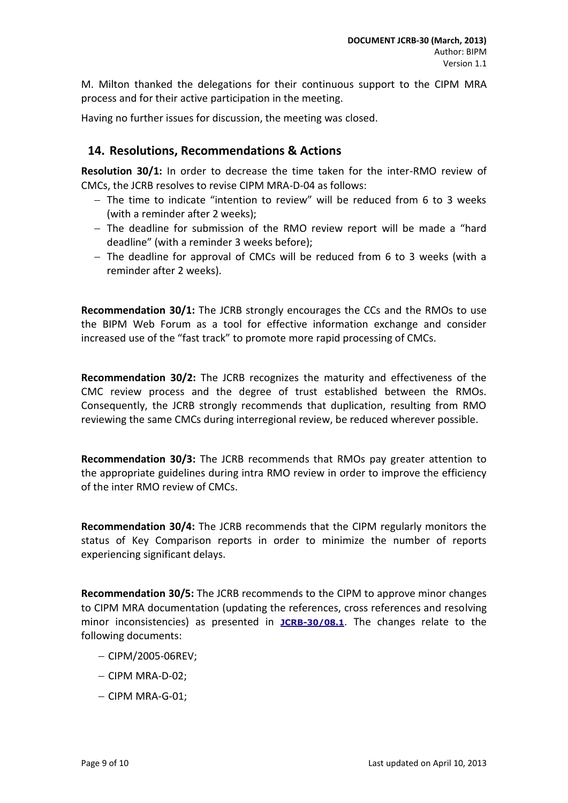M. Milton thanked the delegations for their continuous support to the CIPM MRA process and for their active participation in the meeting.

<span id="page-8-0"></span>Having no further issues for discussion, the meeting was closed.

### **14. Resolutions, Recommendations & Actions**

**Resolution 30/1:** In order to decrease the time taken for the inter-RMO review of CMCs, the JCRB resolves to revise CIPM MRA-D-04 as follows:

- The time to indicate "intention to review" will be reduced from 6 to 3 weeks (with a reminder after 2 weeks);
- The deadline for submission of the RMO review report will be made a "hard deadline" (with a reminder 3 weeks before);
- The deadline for approval of CMCs will be reduced from 6 to 3 weeks (with a reminder after 2 weeks).

**Recommendation 30/1:** The JCRB strongly encourages the CCs and the RMOs to use the BIPM Web Forum as a tool for effective information exchange and consider increased use of the "fast track" to promote more rapid processing of CMCs.

**Recommendation 30/2:** The JCRB recognizes the maturity and effectiveness of the CMC review process and the degree of trust established between the RMOs. Consequently, the JCRB strongly recommends that duplication, resulting from RMO reviewing the same CMCs during interregional review, be reduced wherever possible.

**Recommendation 30/3:** The JCRB recommends that RMOs pay greater attention to the appropriate guidelines during intra RMO review in order to improve the efficiency of the inter RMO review of CMCs.

**Recommendation 30/4:** The JCRB recommends that the CIPM regularly monitors the status of Key Comparison reports in order to minimize the number of reports experiencing significant delays.

**Recommendation 30/5:** The JCRB recommends to the CIPM to approve minor changes to CIPM MRA documentation (updating the references, cross references and resolving minor inconsistencies) as presented in **[JCRB-30/08.1](http://www.bipm.org/cc/JCRB/Restricted/30/30.08.0_Docs_to_be_submitted_to_the_CIPM_for_approval.ppt)**. The changes relate to the following documents:

- $-$  CIPM/2005-06REV:
- $-$  CIPM MRA-D-02;
- $-$  CIPM MRA-G-01: